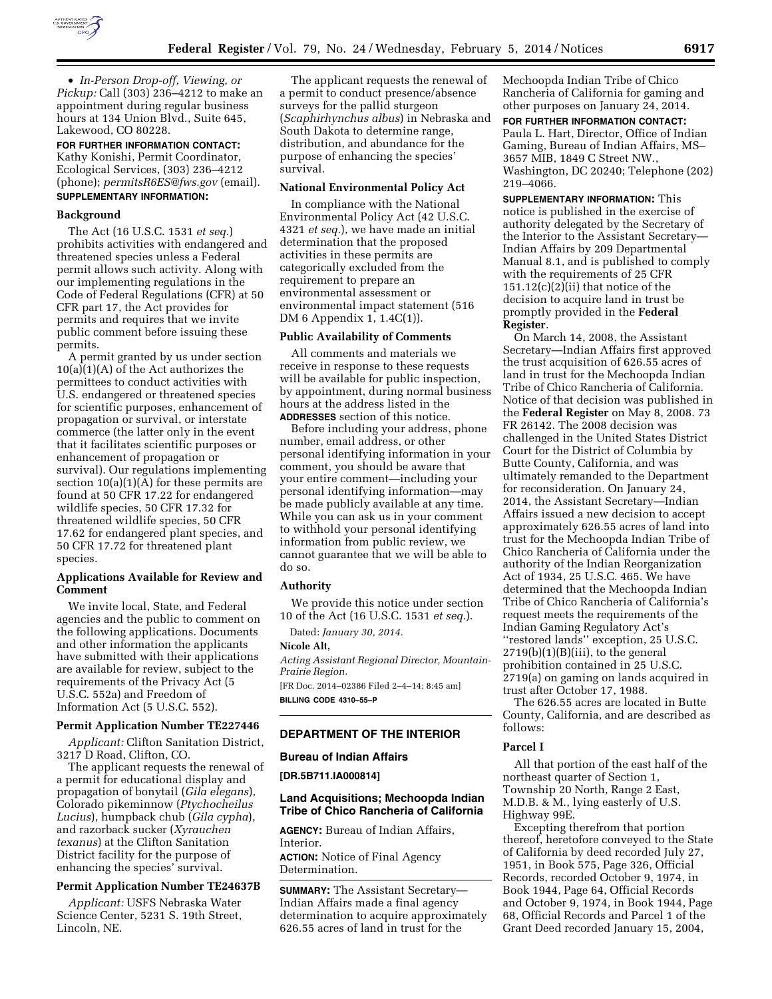

• *In-Person Drop-off, Viewing, or Pickup:* Call (303) 236–4212 to make an appointment during regular business hours at 134 Union Blvd., Suite 645, Lakewood, CO 80228.

**FOR FURTHER INFORMATION CONTACT:**  Kathy Konishi, Permit Coordinator, Ecological Services, (303) 236–4212 (phone); *[permitsR6ES@fws.gov](mailto:permitsR6ES@fws.gov)* (email). **SUPPLEMENTARY INFORMATION:** 

#### **Background**

The Act (16 U.S.C. 1531 *et seq.*) prohibits activities with endangered and threatened species unless a Federal permit allows such activity. Along with our implementing regulations in the Code of Federal Regulations (CFR) at 50 CFR part 17, the Act provides for permits and requires that we invite public comment before issuing these permits.

A permit granted by us under section  $10(a)(1)(A)$  of the Act authorizes the permittees to conduct activities with U.S. endangered or threatened species for scientific purposes, enhancement of propagation or survival, or interstate commerce (the latter only in the event that it facilitates scientific purposes or enhancement of propagation or survival). Our regulations implementing section  $10(a)(1)(A)$  for these permits are found at 50 CFR 17.22 for endangered wildlife species, 50 CFR 17.32 for threatened wildlife species, 50 CFR 17.62 for endangered plant species, and 50 CFR 17.72 for threatened plant species.

## **Applications Available for Review and Comment**

We invite local, State, and Federal agencies and the public to comment on the following applications. Documents and other information the applicants have submitted with their applications are available for review, subject to the requirements of the Privacy Act (5 U.S.C. 552a) and Freedom of Information Act (5 U.S.C. 552).

# **Permit Application Number TE227446**

*Applicant:* Clifton Sanitation District, 3217 D Road, Clifton, CO.

The applicant requests the renewal of a permit for educational display and propagation of bonytail (*Gila elegans*), Colorado pikeminnow (*Ptychocheilus Lucius*), humpback chub (*Gila cypha*), and razorback sucker (*Xyrauchen texanus*) at the Clifton Sanitation District facility for the purpose of enhancing the species' survival.

## **Permit Application Number TE24637B**

*Applicant:* USFS Nebraska Water Science Center, 5231 S. 19th Street, Lincoln, NE.

The applicant requests the renewal of a permit to conduct presence/absence surveys for the pallid sturgeon (*Scaphirhynchus albus*) in Nebraska and South Dakota to determine range, distribution, and abundance for the purpose of enhancing the species' survival.

#### **National Environmental Policy Act**

In compliance with the National Environmental Policy Act (42 U.S.C. 4321 *et seq.*), we have made an initial determination that the proposed activities in these permits are categorically excluded from the requirement to prepare an environmental assessment or environmental impact statement (516 DM 6 Appendix 1, 1.4C(1)).

### **Public Availability of Comments**

All comments and materials we receive in response to these requests will be available for public inspection, by appointment, during normal business hours at the address listed in the **ADDRESSES** section of this notice.

Before including your address, phone number, email address, or other personal identifying information in your comment, you should be aware that your entire comment—including your personal identifying information—may be made publicly available at any time. While you can ask us in your comment to withhold your personal identifying information from public review, we cannot guarantee that we will be able to do so.

#### **Authority**

We provide this notice under section 10 of the Act (16 U.S.C. 1531 *et seq.*).

Dated: *January 30, 2014.* 

**Nicole Alt,** 

*Acting Assistant Regional Director, Mountain-Prairie Region.* 

[FR Doc. 2014–02386 Filed 2–4–14; 8:45 am] **BILLING CODE 4310–55–P** 

### **DEPARTMENT OF THE INTERIOR**

#### **Bureau of Indian Affairs**

**[DR.5B711.IA000814]** 

## **Land Acquisitions; Mechoopda Indian Tribe of Chico Rancheria of California**

**AGENCY:** Bureau of Indian Affairs, Interior.

**ACTION:** Notice of Final Agency Determination.

**SUMMARY:** The Assistant Secretary— Indian Affairs made a final agency determination to acquire approximately 626.55 acres of land in trust for the

Mechoopda Indian Tribe of Chico Rancheria of California for gaming and other purposes on January 24, 2014.

**FOR FURTHER INFORMATION CONTACT:**  Paula L. Hart, Director, Office of Indian Gaming, Bureau of Indian Affairs, MS– 3657 MIB, 1849 C Street NW., Washington, DC 20240; Telephone (202) 219–4066.

**SUPPLEMENTARY INFORMATION:** This notice is published in the exercise of authority delegated by the Secretary of the Interior to the Assistant Secretary— Indian Affairs by 209 Departmental Manual 8.1, and is published to comply with the requirements of 25 CFR  $151.12(c)(2)(ii)$  that notice of the decision to acquire land in trust be promptly provided in the **Federal Register**.

On March 14, 2008, the Assistant Secretary—Indian Affairs first approved the trust acquisition of 626.55 acres of land in trust for the Mechoopda Indian Tribe of Chico Rancheria of California. Notice of that decision was published in the **Federal Register** on May 8, 2008. 73 FR 26142. The 2008 decision was challenged in the United States District Court for the District of Columbia by Butte County, California, and was ultimately remanded to the Department for reconsideration. On January 24, 2014, the Assistant Secretary—Indian Affairs issued a new decision to accept approximately 626.55 acres of land into trust for the Mechoopda Indian Tribe of Chico Rancheria of California under the authority of the Indian Reorganization Act of 1934, 25 U.S.C. 465. We have determined that the Mechoopda Indian Tribe of Chico Rancheria of California's request meets the requirements of the Indian Gaming Regulatory Act's ''restored lands'' exception, 25 U.S.C.  $2719(b)(1)(B)(iii)$ , to the general prohibition contained in 25 U.S.C. 2719(a) on gaming on lands acquired in trust after October 17, 1988.

The 626.55 acres are located in Butte County, California, and are described as follows:

### **Parcel I**

All that portion of the east half of the northeast quarter of Section 1, Township 20 North, Range 2 East, M.D.B. & M., lying easterly of U.S. Highway 99E.

Excepting therefrom that portion thereof, heretofore conveyed to the State of California by deed recorded July 27, 1951, in Book 575, Page 326, Official Records, recorded October 9, 1974, in Book 1944, Page 64, Official Records and October 9, 1974, in Book 1944, Page 68, Official Records and Parcel 1 of the Grant Deed recorded January 15, 2004,